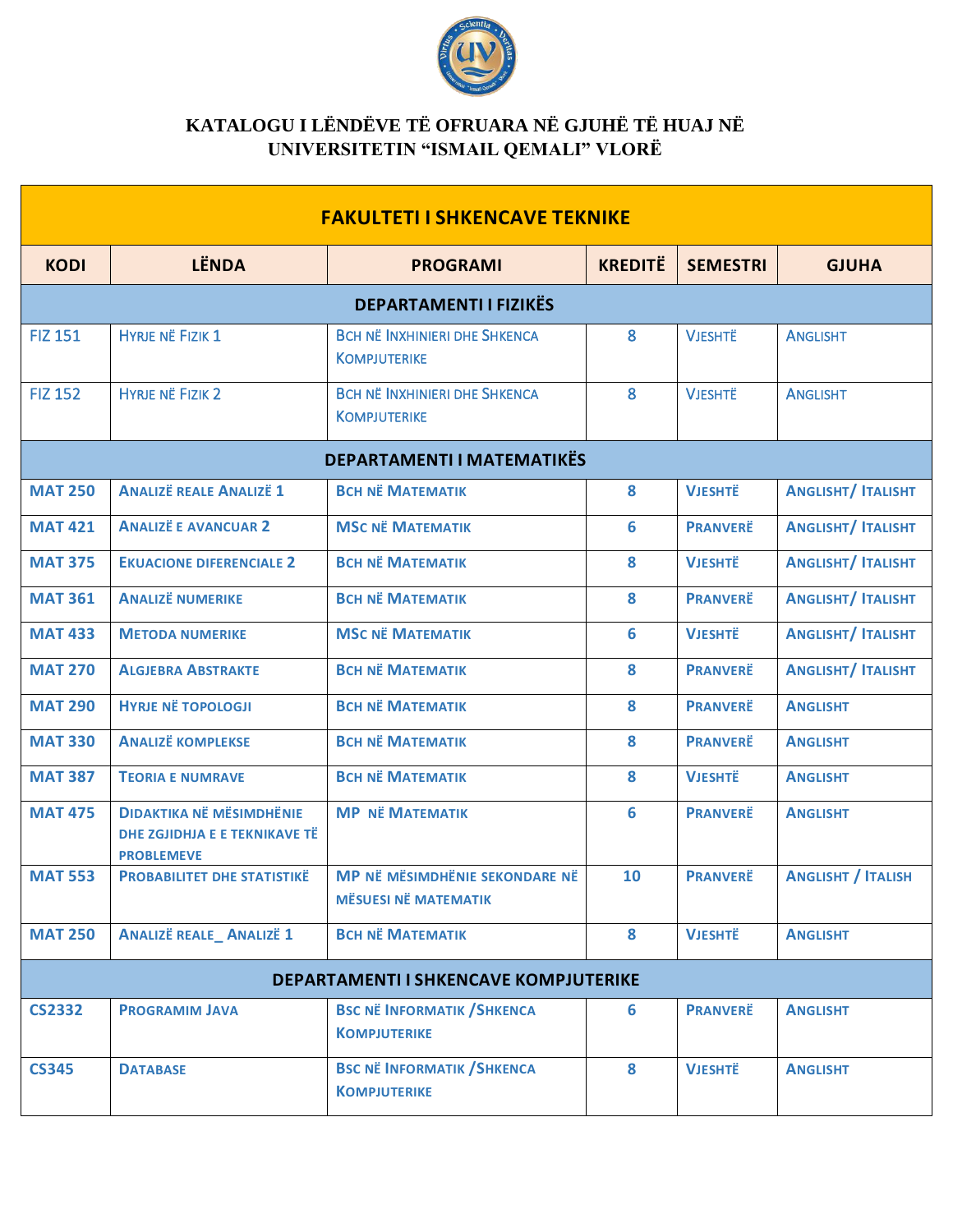

## **KATALOGU I LËNDËVE TË OFRUARA NË GJUHË TË HUAJ NË UNIVERSITETIN "ISMAIL QEMALI" VLORË**

| <b>FAKULTETI I SHKENCAVE TEKNIKE</b> |                                                                                       |                                                               |                |                 |                           |  |  |
|--------------------------------------|---------------------------------------------------------------------------------------|---------------------------------------------------------------|----------------|-----------------|---------------------------|--|--|
| <b>KODI</b>                          | <b>LËNDA</b>                                                                          | <b>PROGRAMI</b>                                               | <b>KREDITË</b> | <b>SEMESTRI</b> | <b>GJUHA</b>              |  |  |
| <b>DEPARTAMENTI I FIZIKËS</b>        |                                                                                       |                                                               |                |                 |                           |  |  |
| <b>FIZ 151</b>                       | <b>HYRJE NË FIZIK 1</b>                                                               | <b>BCH NË INXHINIERI DHE SHKENCA</b><br><b>KOMPJUTERIKE</b>   | 8              | <b>VJESHTË</b>  | <b>ANGLISHT</b>           |  |  |
| <b>FIZ 152</b>                       | <b>HYRJE NË FIZIK 2</b>                                                               | <b>BCH NË INXHINIERI DHE SHKENCA</b><br><b>KOMPJUTERIKE</b>   | 8              | <b>VJESHTË</b>  | <b>ANGLISHT</b>           |  |  |
| <b>DEPARTAMENTI I MATEMATIKËS</b>    |                                                                                       |                                                               |                |                 |                           |  |  |
| <b>MAT 250</b>                       | <b>ANALIZË REALE ANALIZË 1</b>                                                        | <b>BCH NË MATEMATIK</b>                                       | 8              | <b>VJESHTË</b>  | <b>ANGLISHT/ ITALISHT</b> |  |  |
| <b>MAT 421</b>                       | <b>ANALIZE E AVANCUAR 2</b>                                                           | <b>MSC NË MATEMATIK</b>                                       | 6              | <b>PRANVERË</b> | <b>ANGLISHT/ ITALISHT</b> |  |  |
| <b>MAT 375</b>                       | <b>EKUACIONE DIFERENCIALE 2</b>                                                       | <b>BCH NË MATEMATIK</b>                                       | 8              | <b>VJESHTË</b>  | <b>ANGLISHT/ ITALISHT</b> |  |  |
| <b>MAT 361</b>                       | <b>ANALIZË NUMERIKE</b>                                                               | <b>BCH NË MATEMATIK</b>                                       | 8              | <b>PRANVERË</b> | <b>ANGLISHT/ ITALISHT</b> |  |  |
| <b>MAT 433</b>                       | <b>METODA NUMERIKE</b>                                                                | <b>MSC NË MATEMATIK</b>                                       | 6              | <b>VJESHTË</b>  | <b>ANGLISHT/ ITALISHT</b> |  |  |
| <b>MAT 270</b>                       | <b>ALGJEBRA ABSTRAKTE</b>                                                             | <b>BCH NË MATEMATIK</b>                                       | 8              | <b>PRANVERË</b> | <b>ANGLISHT/ ITALISHT</b> |  |  |
| <b>MAT 290</b>                       | <b>HYRJE NË TOPOLOGJI</b>                                                             | <b>BCH NË MATEMATIK</b>                                       | 8              | <b>PRANVERË</b> | <b>ANGLISHT</b>           |  |  |
| <b>MAT 330</b>                       | <b>ANALIZË KOMPLEKSE</b>                                                              | <b>BCH NË MATEMATIK</b>                                       | 8              | <b>PRANVERË</b> | <b>ANGLISHT</b>           |  |  |
| <b>MAT 387</b>                       | <b>TEORIA E NUMRAVE</b>                                                               | <b>BCH NË MATEMATIK</b>                                       | 8              | <b>VJESHTË</b>  | <b>ANGLISHT</b>           |  |  |
| <b>MAT 475</b>                       | <b>DIDAKTIKA NË MËSIMDHËNIE</b><br>DHE ZGJIDHJA E E TEKNIKAVE TË<br><b>PROBLEMEVE</b> | <b>MP NË MATEMATIK</b>                                        | 6              | <b>PRANVERË</b> | <b>ANGLISHT</b>           |  |  |
| <b>MAT 553</b>                       | <b>PROBABILITET DHE STATISTIKE</b>                                                    | MP NË MËSIMDHËNIE SEKONDARE NË<br><b>MËSUESI NË MATEMATIK</b> | 10             | <b>PRANVERË</b> | <b>ANGLISHT / ITALISH</b> |  |  |
| <b>MAT 250</b>                       | <b>ANALIZË REALE_ANALIZË 1</b>                                                        | <b>BCH NË MATEMATIK</b>                                       | 8              | <b>VJESHTË</b>  | <b>ANGLISHT</b>           |  |  |
|                                      | <b>DEPARTAMENTI I SHKENCAVE KOMPJUTERIKE</b>                                          |                                                               |                |                 |                           |  |  |
| <b>CS2332</b>                        | <b>PROGRAMIM JAVA</b>                                                                 | <b>BSC NË INFORMATIK / SHKENCA</b><br><b>KOMPJUTERIKE</b>     | 6              | <b>PRANVERË</b> | <b>ANGLISHT</b>           |  |  |
| <b>CS345</b>                         | <b>DATABASE</b>                                                                       | <b>BSC NË INFORMATIK / SHKENCA</b><br><b>KOMPJUTERIKE</b>     | 8              | <b>VJESHTË</b>  | <b>ANGLISHT</b>           |  |  |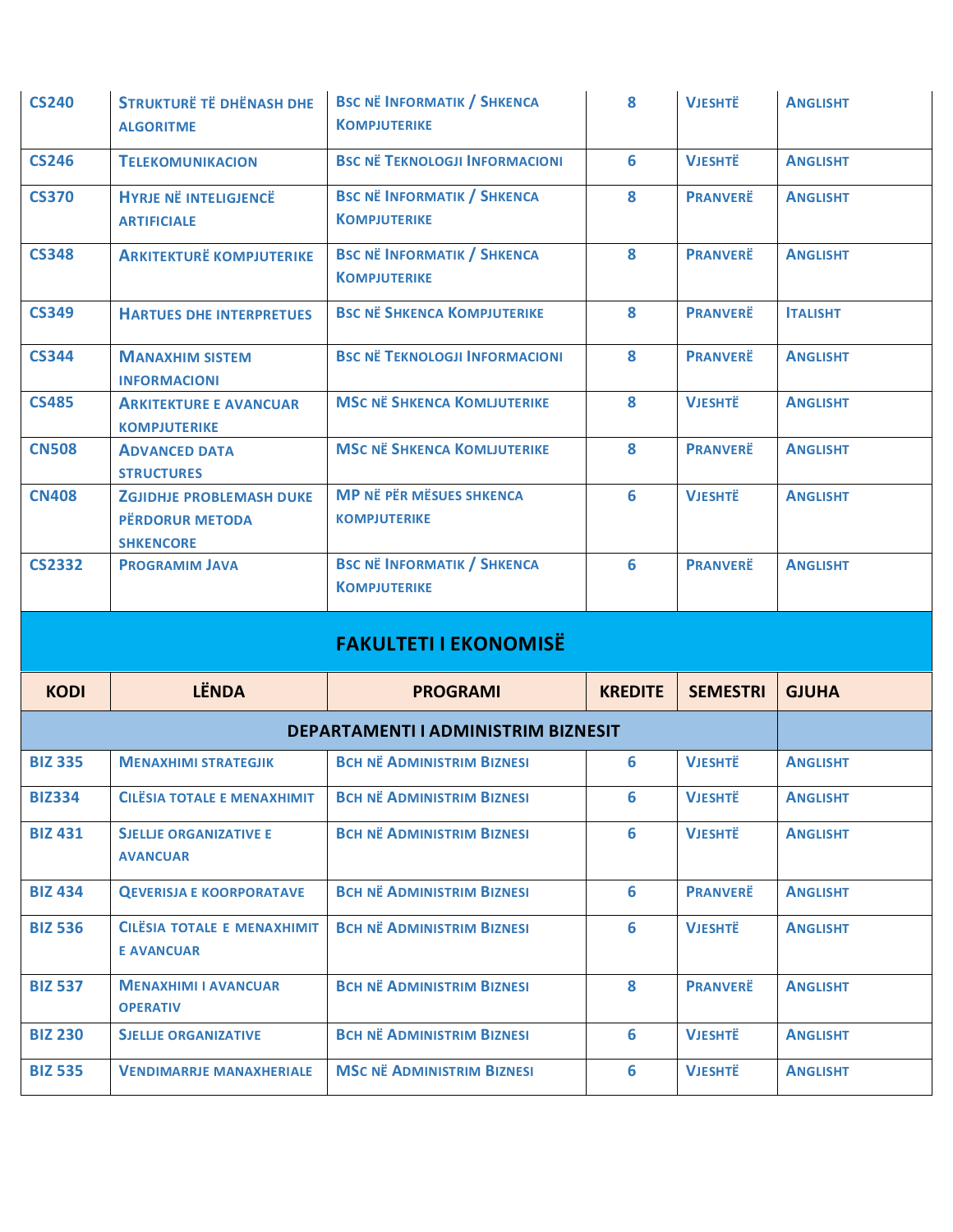| <b>CS240</b>   | <b>STRUKTURË TË DHËNASH DHE</b><br><b>ALGORITME</b>                           | <b>BSC NË INFORMATIK / SHKENCA</b><br><b>KOMPJUTERIKE</b> | 8              | <b>VJESHTË</b>  | <b>ANGLISHT</b> |
|----------------|-------------------------------------------------------------------------------|-----------------------------------------------------------|----------------|-----------------|-----------------|
| <b>CS246</b>   | <b>TELEKOMUNIKACION</b>                                                       | <b>BSC NË TEKNOLOGJI INFORMACIONI</b>                     | 6              | <b>VJESHTË</b>  | <b>ANGLISHT</b> |
| <b>CS370</b>   | <b>HYRJE NË INTELIGJENCË</b><br><b>ARTIFICIALE</b>                            | <b>BSC NË INFORMATIK / SHKENCA</b><br><b>KOMPJUTERIKE</b> | 8              | <b>PRANVERË</b> | <b>ANGLISHT</b> |
| <b>CS348</b>   | <b>ARKITEKTURË KOMPJUTERIKE</b>                                               | <b>BSC NË INFORMATIK / SHKENCA</b><br><b>KOMPJUTERIKE</b> | 8              | <b>PRANVERË</b> | <b>ANGLISHT</b> |
| <b>CS349</b>   | <b>HARTUES DHE INTERPRETUES</b>                                               | <b>BSC NË SHKENCA KOMPJUTERIKE</b>                        | 8              | <b>PRANVERË</b> | <b>ITALISHT</b> |
| <b>CS344</b>   | <b>MANAXHIM SISTEM</b><br><b>INFORMACIONI</b>                                 | <b>BSC NË TEKNOLOGJI INFORMACIONI</b>                     | 8              | <b>PRANVERË</b> | <b>ANGLISHT</b> |
| <b>CS485</b>   | <b>ARKITEKTURE E AVANCUAR</b><br><b>KOMPJUTERIKE</b>                          | <b>MSC NË SHKENCA KOMLJUTERIKE</b>                        | 8              | <b>VJESHTË</b>  | <b>ANGLISHT</b> |
| <b>CN508</b>   | <b>ADVANCED DATA</b><br><b>STRUCTURES</b>                                     | <b>MSC NË SHKENCA KOMLJUTERIKE</b>                        | 8              | <b>PRANVERË</b> | <b>ANGLISHT</b> |
| <b>CN408</b>   | <b>ZGJIDHJE PROBLEMASH DUKE</b><br><b>PËRDORUR METODA</b><br><b>SHKENCORE</b> | <b>MP NË PËR MËSUES SHKENCA</b><br><b>KOMPJUTERIKE</b>    | 6              | <b>VJESHTË</b>  | <b>ANGLISHT</b> |
| <b>CS2332</b>  | <b>PROGRAMIM JAVA</b>                                                         | <b>BSC NË INFORMATIK / SHKENCA</b>                        | 6              | <b>PRANVERË</b> | <b>ANGLISHT</b> |
|                |                                                                               | <b>KOMPJUTERIKE</b>                                       |                |                 |                 |
|                |                                                                               | <b>FAKULTETI I EKONOMISË</b>                              |                |                 |                 |
| <b>KODI</b>    | <b>LËNDA</b>                                                                  | <b>PROGRAMI</b>                                           | <b>KREDITE</b> | <b>SEMESTRI</b> | <b>GJUHA</b>    |
|                |                                                                               | DEPARTAMENTI I ADMINISTRIM BIZNESIT                       |                |                 |                 |
| <b>BIZ 335</b> | <b>MENAXHIMI STRATEGJIK</b>                                                   | <b>BCH NË ADMINISTRIM BIZNESI</b>                         | 6              | <b>VJESHTË</b>  | <b>ANGLISHT</b> |
| <b>BIZ334</b>  | <b>CILESIA TOTALE E MENAXHIMIT</b>                                            | <b>BCH NË ADMINISTRIM BIZNESI</b>                         | 6              | <b>VJESHTË</b>  | <b>ANGLISHT</b> |
| <b>BIZ 431</b> | <b>SJELLJE ORGANIZATIVE E</b><br><b>AVANCUAR</b>                              | <b>BCH NË ADMINISTRIM BIZNESI</b>                         | 6              | <b>VJESHTË</b>  | <b>ANGLISHT</b> |
| <b>BIZ 434</b> | <b>QEVERISJA E KOORPORATAVE</b>                                               | <b>BCH NË ADMINISTRIM BIZNESI</b>                         | 6              | <b>PRANVERË</b> | <b>ANGLISHT</b> |
| <b>BIZ 536</b> | CILESIA TOTALE E MENAXHIMIT<br><b>E AVANCUAR</b>                              | <b>BCH NË ADMINISTRIM BIZNESI</b>                         | 6              | <b>VJESHTË</b>  | <b>ANGLISHT</b> |
| <b>BIZ 537</b> | <b>MENAXHIMI I AVANCUAR</b><br><b>OPERATIV</b>                                | <b>BCH NË ADMINISTRIM BIZNESI</b>                         | 8              | <b>PRANVERË</b> | <b>ANGLISHT</b> |
| <b>BIZ 230</b> | <b>SJELLJE ORGANIZATIVE</b>                                                   | <b>BCH NË ADMINISTRIM BIZNESI</b>                         | 6              | <b>VJESHTË</b>  | <b>ANGLISHT</b> |